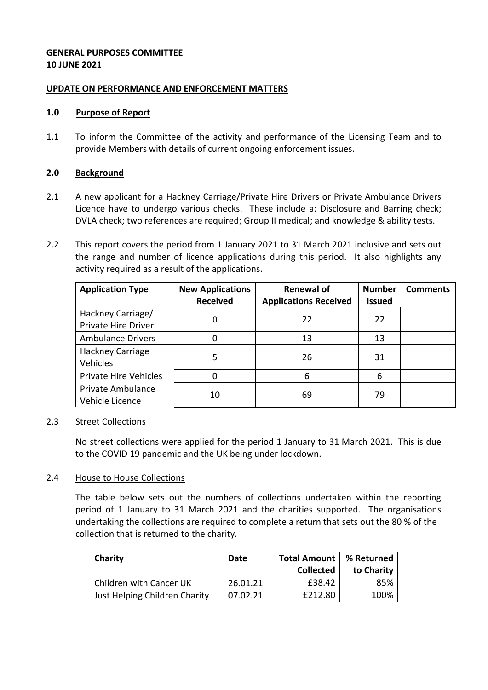# **GENERAL PURPOSES COMMITTEE 10 JUNE 2021**

### **UPDATE ON PERFORMANCE AND ENFORCEMENT MATTERS**

### **1.0 Purpose of Report**

1.1 To inform the Committee of the activity and performance of the Licensing Team and to provide Members with details of current ongoing enforcement issues.

## **2.0 Background**

- 2.1 A new applicant for a Hackney Carriage/Private Hire Drivers or Private Ambulance Drivers Licence have to undergo various checks. These include a: Disclosure and Barring check; DVLA check; two references are required; Group II medical; and knowledge & ability tests.
- 2.2 This report covers the period from 1 January 2021 to 31 March 2021 inclusive and sets out the range and number of licence applications during this period. It also highlights any activity required as a result of the applications.

| <b>Application Type</b>                         | <b>New Applications</b><br><b>Received</b> | <b>Renewal of</b><br><b>Applications Received</b> | <b>Number</b><br><b>Issued</b> | <b>Comments</b> |
|-------------------------------------------------|--------------------------------------------|---------------------------------------------------|--------------------------------|-----------------|
| Hackney Carriage/<br><b>Private Hire Driver</b> | 0                                          | 22                                                | 22                             |                 |
| <b>Ambulance Drivers</b>                        |                                            | 13                                                | 13                             |                 |
| Hackney Carriage<br>Vehicles                    | 5                                          | 26                                                | 31                             |                 |
| Private Hire Vehicles                           |                                            | 6                                                 | 6                              |                 |
| Private Ambulance<br>Vehicle Licence            | 10                                         | 69                                                | 79                             |                 |

# 2.3 Street Collections

No street collections were applied for the period 1 January to 31 March 2021. This is due to the COVID 19 pandemic and the UK being under lockdown.

#### 2.4 House to House Collections

The table below sets out the numbers of collections undertaken within the reporting period of 1 January to 31 March 2021 and the charities supported. The organisations undertaking the collections are required to complete a return that sets out the 80 % of the collection that is returned to the charity.

| Charity                       | Date     | Total Amount   % Returned<br><b>Collected</b> | to Charity |
|-------------------------------|----------|-----------------------------------------------|------------|
| Children with Cancer UK       | 26.01.21 | £38.42                                        | 85%        |
| Just Helping Children Charity | 07.02.21 | £212.80                                       | 100%       |